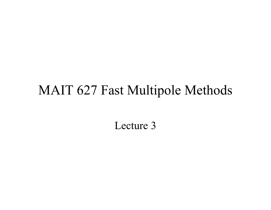#### MAIT 627 Fast Multipole Methods

Lecture 3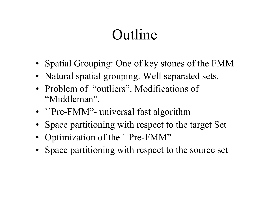## Outline

- Spatial Grouping: One of key stones of the FMM
- Natural spatial grouping. Well separated sets.
- Problem of "outliers". Modifications of "Middleman".
- ``Pre-FMM"- universal fast algorithm
- Space partitioning with respect to the target Set
- Optimization of the ``Pre-FMM''
- Space partitioning with respect to the source set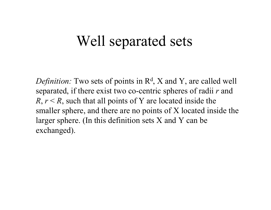### Well separated sets

*Definition:* Two sets of points in R<sup>d</sup>, X and Y, are called well separated, if there exist two co-centric spheres of radii *r* and  $R, r \le R$ , such that all points of Y are located inside the smaller sphere, and there are no points of X located inside the larger sphere. (In this definition sets X and Y can be exchanged).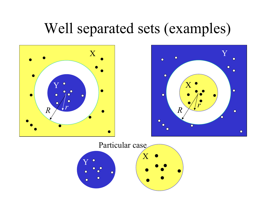### Well separated sets (examples)





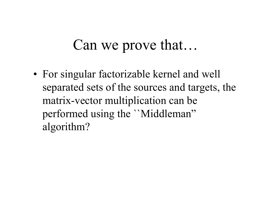### Can we prove that…

• For singular factorizable kernel and well separated sets of the sources and targets, the matrix-vector multiplication can be performed using the ``Middleman" algorithm?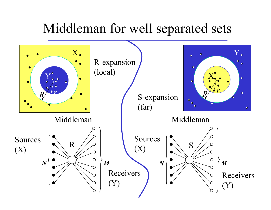#### Middleman for well separated sets

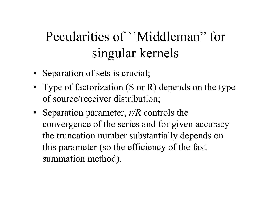### Pecularities of ``Middleman" for singular kernels

- Separation of sets is crucial;
- Type of factorization (S or R) depends on the type of source/receiver distribution;
- Separation parameter, *r/R* controls the convergence of the series and for given accuracy the truncation number substantially depends on this parameter (so the efficiency of the fast summation method).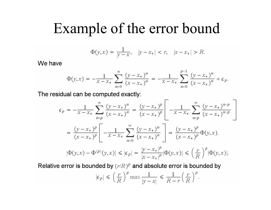### Example of the error bound

$$
\Phi(y, x) = \frac{1}{y - x}, \quad |y - x_*| < r, \quad |x - x_*| > R.
$$

We have

$$
\Phi(y,x) = -\frac{1}{x - x_*} \sum_{n=0}^{\infty} \frac{(y - x_*)^n}{(x - x_*)^n} = -\frac{1}{x - x_*} \sum_{n=0}^{p-1} \frac{(y - x_*)^n}{(x - x_*)^n} + \epsilon_p.
$$

The residual can be computed exactly:

$$
\epsilon_p = -\frac{1}{x - x_*} \sum_{n=p}^{\infty} \frac{(y - x_*)^n}{(x - x_*)^n} = \frac{(y - x_*)^p}{(x - x_*)^p} \left[ -\frac{1}{x - x_*} \sum_{n=p}^{\infty} \frac{(y - x_*)^{n-p}}{(x - x_*)^{n-p}} \right]
$$

$$
= \frac{(y - x_*)^p}{(x - x_*)^p} \left[ -\frac{1}{x - x_*} \sum_{n=0}^{\infty} \frac{(y - x_*)^n}{(x - x_*)^n} \right] = \frac{(y - x_*)^p}{(x - x_*)^p} \Phi(y, x).
$$

$$
|\Phi(y, x) - \Phi^{(p)}(y, x)| \le |\epsilon_p| = \frac{|y - x_*|^p}{|x - x_*|^p} |\Phi(y, x)| \le (\frac{r}{R})^p |\Phi(y, x)|.
$$

Relative error is bounded by  $(r/R)^p$  and absolute error is bounded by

$$
|\epsilon_p| \leqslant \left(\frac{r}{R}\right)^p \max \frac{1}{|y-x|} \leqslant \frac{1}{R-r} \left(\frac{r}{R}\right)^p.
$$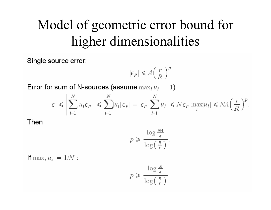### Model of geometric error bound for higher dimensionalities

Single source error:

$$
|\epsilon_p| \le A \left(\frac{r}{R}\right)^p
$$

Error for sum of N-sources (assume  $\max_i |u_i| = 1$ )

$$
|\epsilon| \leq \left| \sum_{i=1}^N u_i \epsilon_p \right| \leq \sum_{i=1}^N |u_i| |\epsilon_p| = |\epsilon_p| \sum_{i=1}^N |u_i| \leq N |\epsilon_p| \max_i |u_i| \leq NA \left( \frac{r}{R} \right)^p.
$$

Then

$$
p \geq \frac{\log \frac{NA}{|\epsilon|}}{\log \left(\frac{R}{r}\right)}.
$$

**If**  $\max_i |u_i| = 1/N$ :

$$
p \geq \frac{\log \frac{A}{|\epsilon|}}{\log \left(\frac{R}{r}\right)}.
$$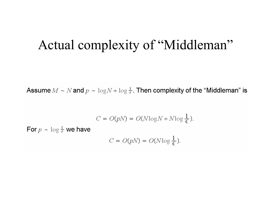#### Actual complexity of "Middleman"

Assume  $M \sim N$  and  $p \sim \log N + \log \frac{1}{\epsilon}$ . Then complexity of the "Middleman" is

$$
C = O(pN) = O(N \log N + N \log \frac{1}{\epsilon}).
$$

For  $p \sim \log \frac{1}{\epsilon}$  we have

$$
C = O(pN) = O(N \log \frac{1}{\epsilon}).
$$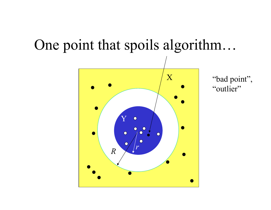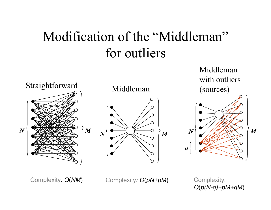### Modification of the "Middleman" for outliers



Complexity*: O*(*NM*) Complexity*: O*(*pN+pM*)

Complexity*: O*(*p(N-q)+pM+qM*)

Middleman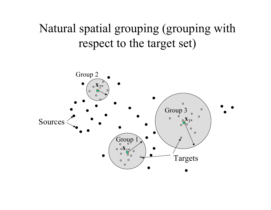Natural spatial grouping (grouping with respect to the target set)

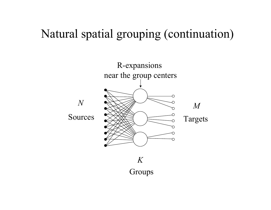#### Natural spatial grouping (continuation)

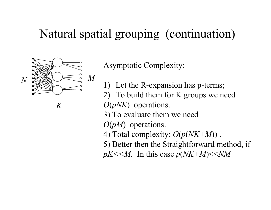#### Natural spatial grouping (continuation)



Asymptotic Complexity:

- 1) Let the R-expansion has p-terms;
- 2) To build them for K groups we need

*O* (*pNK*) operations.

3) To evaluate them we need

*O* (*pM*) operations.

4) Total complexity: *O* (*p* (*NK+M*)) .

5) Better then the Straightforward method, if

*pK<<M.* In this case *p* (*NK+M*)<<*NM*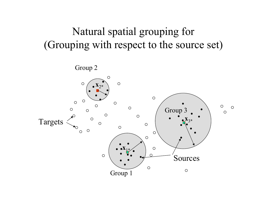#### Natural spatial grouping for (Grouping with respect to the source set)

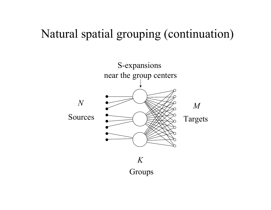#### Natural spatial grouping (continuation)

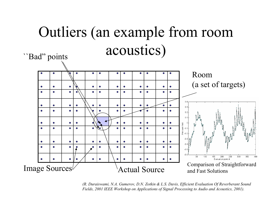#### Outliers (an example from room acoustics) "Bad" points



(R. Duraiswami, N.A. Gumerov, D.N. Zotkin & L.S. Davis, Efficient Evaluation Of Reverberant Sound Fields, 2001 IEEE Workshop on Applications of Signal Processing to Audio and Acoustics, 2001).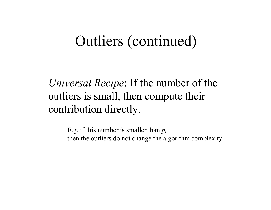### Outliers (continued)

*Universal Recipe*: If the number of the outliers is small, then compute their contribution directly.

> E.g. if this number is smaller than *p,*  then the outliers do not change the algorithm complexity.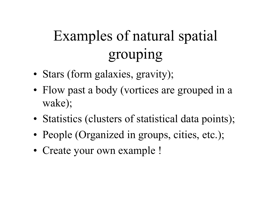## Examples of natural spatial grouping

- Stars (form galaxies, gravity);
- Flow past a body (vortices are grouped in a wake);
- Statistics (clusters of statistical data points);
- People (Organized in groups, cities, etc.);
- Create your own example !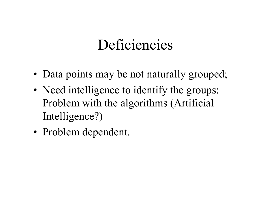### Deficiencies

- Data points may be not naturally grouped;
- Need intelligence to identify the groups: Problem with the algorithms (Artificial Intelligence?)
- Problem dependent.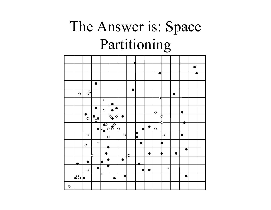## The Answer is: Space Partitioning

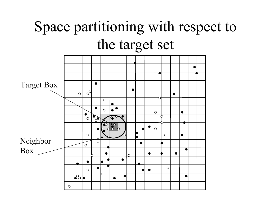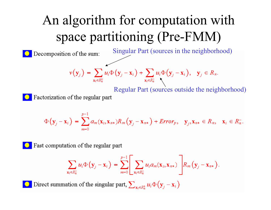### An algorithm for computation with space partitioning (Pre-FMM)



Factorization of the regular part

$$
\Phi\left(\mathbf{y}_{j}-\mathbf{x}_{i}\right)=\sum_{m=0}^{p-1}a_{m}(\mathbf{x}_{i},\mathbf{x}_{n*})R_{m}\left(\mathbf{y}_{j}-\mathbf{x}_{n*}\right)+Error_{p},\quad \mathbf{y}_{j},\mathbf{x}_{n*}\in R_{n},\quad \mathbf{x}_{i}\in R_{n}^{-}.
$$

Fast computation of the regular part

$$
\sum_{\mathbf{x}_i \in R_n^-} u_i \Phi(\mathbf{y}_j - \mathbf{x}_i) = \sum_{m=0}^{p-1} \Bigg[ \sum_{\mathbf{x}_i \in R_n^-} u_i a_m(\mathbf{x}_i, \mathbf{x}_{n*}) \Bigg] R_m(\mathbf{y}_j - \mathbf{x}_{n*}).
$$

Direct summation of the singular part,  $\sum_{\mathbf{x}_i \in R_n^+} u_i \Phi(\mathbf{y}_i - \mathbf{x}_i)$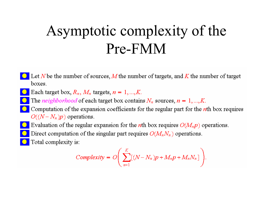## Asymptotic complexity of the Pre-FMM

- Let N be the number of sources, M the number of targets, and K the number of target boxes.
- Each target box,  $R_n$ ,  $M_n$  targets,  $n = 1, ..., K$ .
- The *neighborhood* of each target box contains  $N_n$  sources,  $n = 1, ..., K$ .
- Computation of the expansion coefficients for the regular part for the *th box requires*  $O((N-N_n)p)$  operations.
- Evaluation of the regular expansion for the *n*th box requires  $O(M_n p)$  operations.
- Direct computation of the singular part requires  $O(M_nN_n)$  operations.
	- Total complexity is:

Complexity = 
$$
O\left(\sum_{n=1}^{K} [(N - N_n)p + M_n p + M_n N_n]\right)
$$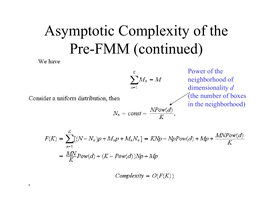## Asymptotic Complexity of the Pre-FMM (continued)

We have

 $\blacksquare$ 

$$
\sum_{n=1}^K M_n = M
$$

Consider a uniform distribution, then

 $N_n \sim const \sim \frac{NPow(d)}{K},$ 

Power of the neighborhood of dimensionality *d* (the number of boxes in the neighborhood)

$$
F(K) = \sum_{n=1}^{K} [(N - N_n)p + M_n p + M_n N_n] = K N p - N p P o w(d) + M p + \frac{M N P o w(d)}{K}
$$
  
= 
$$
\frac{M N}{K} P o w(d) + (K - P o w(d)) N p + M p
$$

Complexity =  $O(F(K))$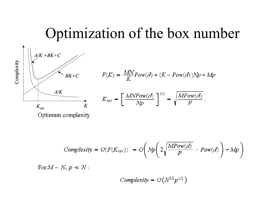### Optimization of the box number



$$
F(K) = \frac{MN}{K}Pow(d) + (K - Pow(d))Np + Mp
$$

$$
K_{opt} = \left[\frac{MNPow(d)}{Np}\right]^{1/2} = \sqrt{\frac{MPow(d)}{p}}
$$

Complexity = 
$$
O(F(K_{opt})) = O\left(Np\left(2\sqrt{\frac{MPow(d)}{p}} - Pow(d)\right) + Mp\right)
$$

For  $M \sim N$ ,  $p \ll N$  :

Complexity = 
$$
O(N^{3/2}p^{1/2})
$$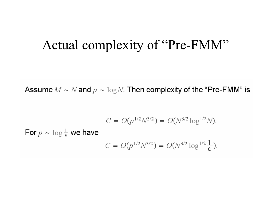#### Actual complexity of "Pre-FMM"

Assume  $M \sim N$  and  $p \sim \log N$ . Then complexity of the "Pre-FMM" is

$$
C = O(p^{1/2}N^{3/2}) = O(N^{3/2}\log^{1/2}N)
$$

For  $p \sim \log \frac{1}{\epsilon}$  we have

$$
C = O(p^{1/2}N^{3/2}) = O(N^{3/2}\log^{1/2}\frac{1}{\epsilon}).
$$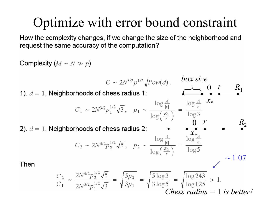### Optimize with error bound constraint

How the complexity changes, if we change the size of the neighborhood and request the same accuracy of the computation?

Complexity  $(M \sim N \gg p)$ *box size*  $C \sim 2N^{3/2} p^{1/2} \sqrt{Pow(d)}$ . *r* 0 *R*1 1).  $d = 1$ , Neighborhoods of chess radius 1: *x \**  $R_{\rm 2}$ *r* 02).  $d = 1$ , Neighborhoods of chess radius 2: *x \* ~* 1.07Then  $\frac{C_2}{C_1} \sim \frac{2N^{3/2}p_2^{1/2}\sqrt{5}}{2N^{3/2}n_1^{1/2}\sqrt{3}} = \sqrt{\frac{5p_2}{3p_1}} = \sqrt{\frac{5\log 3}{3\log 5}} = \sqrt{\frac{\log 243}{\log 125}} > 1.$ *Chess radius =*  1 *is better!*